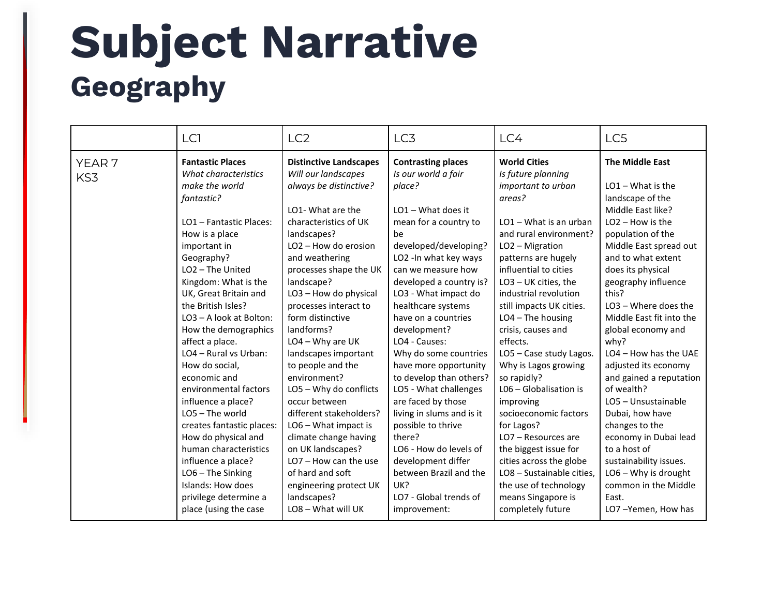## **Subject Narrative Geography**

|                   | LC <sub>1</sub>              | LC <sub>2</sub>                             | LC3                            | LC4                          | LC5                                                          |
|-------------------|------------------------------|---------------------------------------------|--------------------------------|------------------------------|--------------------------------------------------------------|
| YEAR <sub>7</sub> | <b>Fantastic Places</b>      | <b>Distinctive Landscapes</b>               | <b>Contrasting places</b>      | <b>World Cities</b>          | <b>The Middle East</b>                                       |
| KS3               | What characteristics         | Will our landscapes                         | Is our world a fair            | Is future planning           |                                                              |
|                   | make the world<br>fantastic? | always be distinctive?<br>LO1- What are the | place?<br>$LO1 - What does it$ | important to urban<br>areas? | $LO1 - What$ is the<br>landscape of the<br>Middle East like? |
|                   | LO1 - Fantastic Places:      | characteristics of UK                       | mean for a country to          | LO1 - What is an urban       | $LO2 - How is the$                                           |
|                   | How is a place               | landscapes?                                 | be                             | and rural environment?       | population of the                                            |
|                   | important in                 | LO2 - How do erosion                        | developed/developing?          | LO2 - Migration              | Middle East spread out                                       |
|                   | Geography?                   | and weathering                              | LO2 - In what key ways         | patterns are hugely          | and to what extent                                           |
|                   | $LO2$ – The United           | processes shape the UK                      | can we measure how             | influential to cities        | does its physical                                            |
|                   | Kingdom: What is the         | landscape?                                  | developed a country is?        | LO3 - UK cities, the         | geography influence                                          |
|                   | UK, Great Britain and        | LO3 - How do physical                       | LO3 - What impact do           | industrial revolution        | this?                                                        |
|                   | the British Isles?           | processes interact to                       | healthcare systems             | still impacts UK cities.     | $LO3 - Where$ does the                                       |
|                   | LO3 - A look at Bolton:      | form distinctive                            | have on a countries            | $LO4$ – The housing          | Middle East fit into the                                     |
|                   | How the demographics         | landforms?                                  | development?                   | crisis, causes and           | global economy and                                           |
|                   | affect a place.              | $LO4 - Why$ are UK                          | LO4 - Causes:                  | effects.                     | why?                                                         |
|                   | LO4 - Rural vs Urban:        | landscapes important                        | Why do some countries          | LO5 - Case study Lagos.      | LO4 - How has the UAE                                        |
|                   | How do social,               | to people and the                           | have more opportunity          | Why is Lagos growing         | adjusted its economy                                         |
|                   | economic and                 | environment?                                | to develop than others?        | so rapidly?                  | and gained a reputation                                      |
|                   | environmental factors        | LO5 - Why do conflicts                      | LO5 - What challenges          | $LO6 - Globalisation$ is     | of wealth?                                                   |
|                   | influence a place?           | occur between                               | are faced by those             | improving                    | LO5 - Unsustainable                                          |
|                   | $LO5$ – The world            | different stakeholders?                     | living in slums and is it      | socioeconomic factors        | Dubai, how have                                              |
|                   | creates fantastic places:    | LO6 - What impact is                        | possible to thrive             | for Lagos?                   | changes to the                                               |
|                   | How do physical and          | climate change having                       | there?                         | LO7 - Resources are          | economy in Dubai lead                                        |
|                   | human characteristics        | on UK landscapes?                           | LO6 - How do levels of         | the biggest issue for        | to a host of                                                 |
|                   | influence a place?           | $LO7 - How can the use$                     | development differ             | cities across the globe      | sustainability issues.                                       |
|                   | LO6 - The Sinking            | of hard and soft                            | between Brazil and the         | LO8 - Sustainable cities,    | LO6 - Why is drought                                         |
|                   | Islands: How does            | engineering protect UK                      | UK?                            | the use of technology        | common in the Middle                                         |
|                   | privilege determine a        | landscapes?                                 | LO7 - Global trends of         | means Singapore is           | East.                                                        |
|                   | place (using the case        | LO8 - What will UK                          | improvement:                   | completely future            | LO7-Yemen, How has                                           |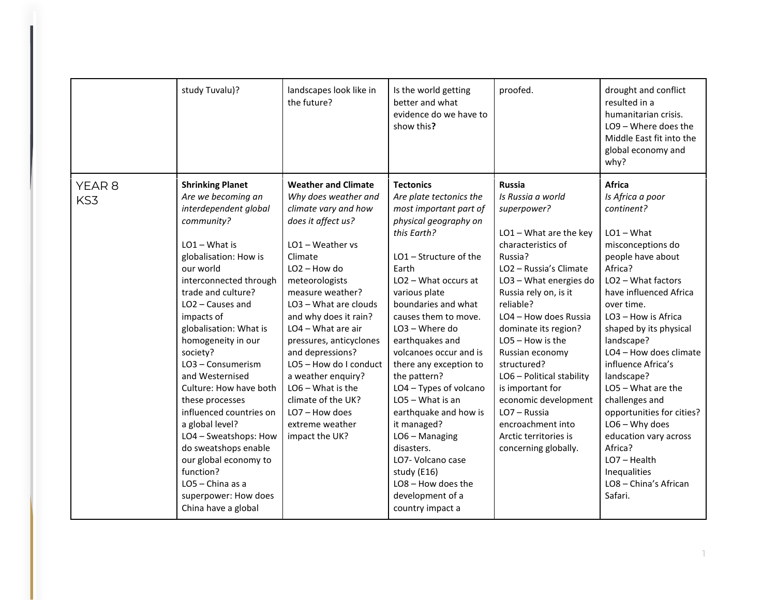|               | study Tuvalu)?                                                                                                                                                                                                                                                                                                                                                                                                                                                                                                                                                                               | landscapes look like in<br>the future?                                                                                                                                                                                                                                                                                                                                                                                                                                 | Is the world getting<br>better and what<br>evidence do we have to<br>show this?                                                                                                                                                                                                                                                                                                                                                                                                                                                                                                 | proofed.                                                                                                                                                                                                                                                                                                                                                                                                                                                                   | drought and conflict<br>resulted in a<br>humanitarian crisis.<br>LO9 - Where does the<br>Middle East fit into the<br>global economy and<br>why?                                                                                                                                                                                                                                                                                                                                                                         |
|---------------|----------------------------------------------------------------------------------------------------------------------------------------------------------------------------------------------------------------------------------------------------------------------------------------------------------------------------------------------------------------------------------------------------------------------------------------------------------------------------------------------------------------------------------------------------------------------------------------------|------------------------------------------------------------------------------------------------------------------------------------------------------------------------------------------------------------------------------------------------------------------------------------------------------------------------------------------------------------------------------------------------------------------------------------------------------------------------|---------------------------------------------------------------------------------------------------------------------------------------------------------------------------------------------------------------------------------------------------------------------------------------------------------------------------------------------------------------------------------------------------------------------------------------------------------------------------------------------------------------------------------------------------------------------------------|----------------------------------------------------------------------------------------------------------------------------------------------------------------------------------------------------------------------------------------------------------------------------------------------------------------------------------------------------------------------------------------------------------------------------------------------------------------------------|-------------------------------------------------------------------------------------------------------------------------------------------------------------------------------------------------------------------------------------------------------------------------------------------------------------------------------------------------------------------------------------------------------------------------------------------------------------------------------------------------------------------------|
| YEAR 8<br>KS3 | <b>Shrinking Planet</b><br>Are we becoming an<br>interdependent global<br>community?<br>$LO1 - What$ is<br>globalisation: How is<br>our world<br>interconnected through<br>trade and culture?<br>$LO2$ – Causes and<br>impacts of<br>globalisation: What is<br>homogeneity in our<br>society?<br>LO3 - Consumerism<br>and Westernised<br>Culture: How have both<br>these processes<br>influenced countries on<br>a global level?<br>LO4 - Sweatshops: How<br>do sweatshops enable<br>our global economy to<br>function?<br>$LO5 - China as a$<br>superpower: How does<br>China have a global | <b>Weather and Climate</b><br>Why does weather and<br>climate vary and how<br>does it affect us?<br>$LO1 - Weather$ vs<br>Climate<br>$LO2 - How do$<br>meteorologists<br>measure weather?<br>LO3 - What are clouds<br>and why does it rain?<br>LO4 - What are air<br>pressures, anticyclones<br>and depressions?<br>LO5 - How do I conduct<br>a weather enquiry?<br>$LO6 - What is the$<br>climate of the UK?<br>$LO7 - How does$<br>extreme weather<br>impact the UK? | <b>Tectonics</b><br>Are plate tectonics the<br>most important part of<br>physical geography on<br>this Earth?<br>$LO1 -$ Structure of the<br>Earth<br>LO2 - What occurs at<br>various plate<br>boundaries and what<br>causes them to move.<br>LO3 - Where do<br>earthquakes and<br>volcanoes occur and is<br>there any exception to<br>the pattern?<br>LO4 - Types of volcano<br>$LO5 - What is an$<br>earthquake and how is<br>it managed?<br>$LO6 - Managing$<br>disasters.<br>LO7- Volcano case<br>study (E16)<br>LO8 - How does the<br>development of a<br>country impact a | <b>Russia</b><br>Is Russia a world<br>superpower?<br>LO1-What are the key<br>characteristics of<br>Russia?<br>LO2 - Russia's Climate<br>LO3 - What energies do<br>Russia rely on, is it<br>reliable?<br>LO4 - How does Russia<br>dominate its region?<br>LO5 - How is the<br>Russian economy<br>structured?<br>LO6 - Political stability<br>is important for<br>economic development<br>LO7 - Russia<br>encroachment into<br>Arctic territories is<br>concerning globally. | Africa<br>Is Africa a poor<br>continent?<br>$LO1 - What$<br>misconceptions do<br>people have about<br>Africa?<br>LO <sub>2</sub> - What factors<br>have influenced Africa<br>over time.<br>LO3 - How is Africa<br>shaped by its physical<br>landscape?<br>LO4 - How does climate<br>influence Africa's<br>landscape?<br>LO5 - What are the<br>challenges and<br>opportunities for cities?<br>$LO6 - Why$ does<br>education vary across<br>Africa?<br>$LO7 - Health$<br>Inequalities<br>LO8 - China's African<br>Safari. |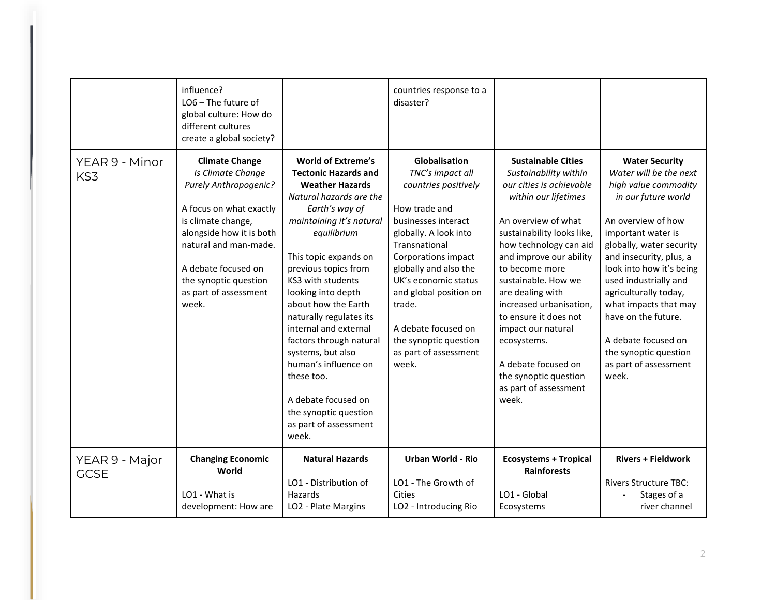|                               | influence?<br>LO6 - The future of<br>global culture: How do<br>different cultures<br>create a global society?                                                                                                                                               |                                                                                                                                                                                                                                                                                                                                                                                                                                                                                                                           | countries response to a<br>disaster?                                                                                                                                                                                                                                                                                                      |                                                                                                                                                                                                                                                                                                                                                                                                                                                          |                                                                                                                                                                                                                                                                                                                                                                                                                   |
|-------------------------------|-------------------------------------------------------------------------------------------------------------------------------------------------------------------------------------------------------------------------------------------------------------|---------------------------------------------------------------------------------------------------------------------------------------------------------------------------------------------------------------------------------------------------------------------------------------------------------------------------------------------------------------------------------------------------------------------------------------------------------------------------------------------------------------------------|-------------------------------------------------------------------------------------------------------------------------------------------------------------------------------------------------------------------------------------------------------------------------------------------------------------------------------------------|----------------------------------------------------------------------------------------------------------------------------------------------------------------------------------------------------------------------------------------------------------------------------------------------------------------------------------------------------------------------------------------------------------------------------------------------------------|-------------------------------------------------------------------------------------------------------------------------------------------------------------------------------------------------------------------------------------------------------------------------------------------------------------------------------------------------------------------------------------------------------------------|
| YEAR 9 - Minor<br>KS3         | <b>Climate Change</b><br>Is Climate Change<br>Purely Anthropogenic?<br>A focus on what exactly<br>is climate change,<br>alongside how it is both<br>natural and man-made.<br>A debate focused on<br>the synoptic question<br>as part of assessment<br>week. | <b>World of Extreme's</b><br><b>Tectonic Hazards and</b><br><b>Weather Hazards</b><br>Natural hazards are the<br>Earth's way of<br>maintaining it's natural<br>equilibrium<br>This topic expands on<br>previous topics from<br>KS3 with students<br>looking into depth<br>about how the Earth<br>naturally regulates its<br>internal and external<br>factors through natural<br>systems, but also<br>human's influence on<br>these too.<br>A debate focused on<br>the synoptic question<br>as part of assessment<br>week. | Globalisation<br>TNC's impact all<br>countries positively<br>How trade and<br>businesses interact<br>globally. A look into<br>Transnational<br>Corporations impact<br>globally and also the<br>UK's economic status<br>and global position on<br>trade.<br>A debate focused on<br>the synoptic question<br>as part of assessment<br>week. | <b>Sustainable Cities</b><br>Sustainability within<br>our cities is achievable<br>within our lifetimes<br>An overview of what<br>sustainability looks like,<br>how technology can aid<br>and improve our ability<br>to become more<br>sustainable. How we<br>are dealing with<br>increased urbanisation,<br>to ensure it does not<br>impact our natural<br>ecosystems.<br>A debate focused on<br>the synoptic question<br>as part of assessment<br>week. | <b>Water Security</b><br>Water will be the next<br>high value commodity<br>in our future world<br>An overview of how<br>important water is<br>globally, water security<br>and insecurity, plus, a<br>look into how it's being<br>used industrially and<br>agriculturally today,<br>what impacts that may<br>have on the future.<br>A debate focused on<br>the synoptic question<br>as part of assessment<br>week. |
| YEAR 9 - Major<br><b>GCSE</b> | <b>Changing Economic</b><br>World                                                                                                                                                                                                                           | <b>Natural Hazards</b>                                                                                                                                                                                                                                                                                                                                                                                                                                                                                                    | <b>Urban World - Rio</b>                                                                                                                                                                                                                                                                                                                  | <b>Ecosystems + Tropical</b><br><b>Rainforests</b>                                                                                                                                                                                                                                                                                                                                                                                                       | <b>Rivers + Fieldwork</b>                                                                                                                                                                                                                                                                                                                                                                                         |
|                               | LO1 - What is<br>development: How are                                                                                                                                                                                                                       | LO1 - Distribution of<br>Hazards<br>LO2 - Plate Margins                                                                                                                                                                                                                                                                                                                                                                                                                                                                   | LO1 - The Growth of<br>Cities<br>LO2 - Introducing Rio                                                                                                                                                                                                                                                                                    | LO1 - Global<br>Ecosystems                                                                                                                                                                                                                                                                                                                                                                                                                               | <b>Rivers Structure TBC:</b><br>Stages of a<br>river channel                                                                                                                                                                                                                                                                                                                                                      |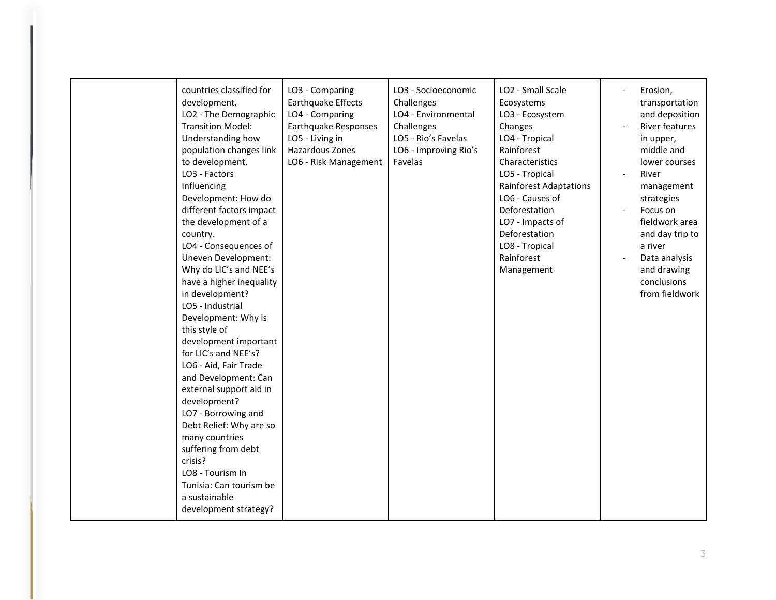| countries classified for<br>development.<br>LO2 - The Demographic<br><b>Transition Model:</b><br>Understanding how<br>population changes link<br>to development.<br>LO3 - Factors<br>Influencing<br>Development: How do<br>different factors impact<br>the development of a<br>country.<br>LO4 - Consequences of<br>Uneven Development:<br>Why do LIC's and NEE's<br>have a higher inequality<br>in development?<br>LO5 - Industrial<br>Development: Why is<br>this style of<br>development important<br>for LIC's and NEE's?<br>LO6 - Aid, Fair Trade<br>and Development: Can<br>external support aid in<br>development?<br>LO7 - Borrowing and<br>Debt Relief: Why are so<br>many countries | LO3 - Comparing<br><b>Earthquake Effects</b><br>LO4 - Comparing<br>Earthquake Responses<br>LO5 - Living in<br>Hazardous Zones<br>LO6 - Risk Management | LO3 - Socioeconomic<br>Challenges<br>LO4 - Environmental<br>Challenges<br>LO5 - Rio's Favelas<br>LO6 - Improving Rio's<br>Favelas | LO2 - Small Scale<br>Ecosystems<br>LO3 - Ecosystem<br>Changes<br>LO4 - Tropical<br>Rainforest<br>Characteristics<br>LO5 - Tropical<br><b>Rainforest Adaptations</b><br>LO6 - Causes of<br>Deforestation<br>LO7 - Impacts of<br>Deforestation<br>LO8 - Tropical<br>Rainforest<br>Management | Erosion,<br>transportation<br>and deposition<br>River features<br>in upper,<br>middle and<br>lower courses<br>River<br>management<br>strategies<br>Focus on<br>fieldwork area<br>and day trip to<br>a river<br>Data analysis<br>and drawing<br>conclusions<br>from fieldwork |
|-----------------------------------------------------------------------------------------------------------------------------------------------------------------------------------------------------------------------------------------------------------------------------------------------------------------------------------------------------------------------------------------------------------------------------------------------------------------------------------------------------------------------------------------------------------------------------------------------------------------------------------------------------------------------------------------------|--------------------------------------------------------------------------------------------------------------------------------------------------------|-----------------------------------------------------------------------------------------------------------------------------------|--------------------------------------------------------------------------------------------------------------------------------------------------------------------------------------------------------------------------------------------------------------------------------------------|------------------------------------------------------------------------------------------------------------------------------------------------------------------------------------------------------------------------------------------------------------------------------|
| suffering from debt<br>crisis?<br>LO8 - Tourism In<br>Tunisia: Can tourism be<br>a sustainable<br>development strategy?                                                                                                                                                                                                                                                                                                                                                                                                                                                                                                                                                                       |                                                                                                                                                        |                                                                                                                                   |                                                                                                                                                                                                                                                                                            |                                                                                                                                                                                                                                                                              |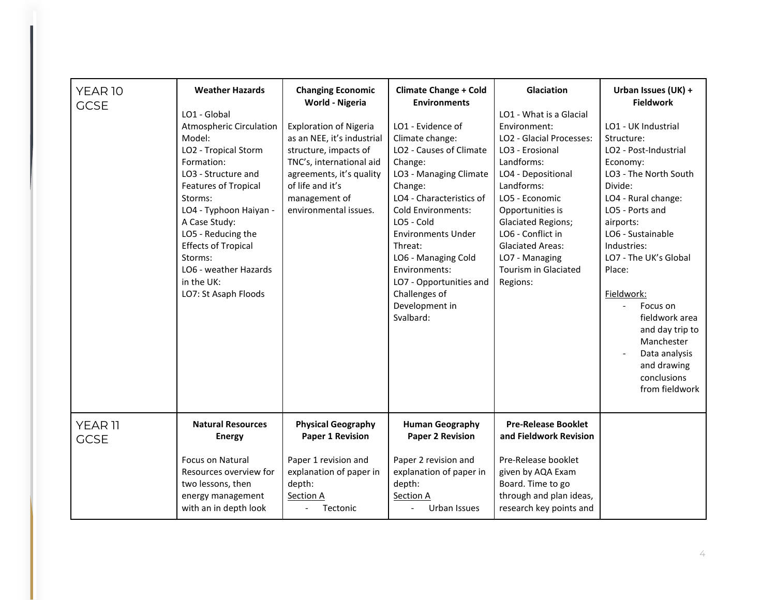| YEAR 10<br><b>GCSE</b>            | <b>Weather Hazards</b><br>LO1 - Global<br><b>Atmospheric Circulation</b><br>Model:<br>LO2 - Tropical Storm<br>Formation:<br>LO3 - Structure and<br><b>Features of Tropical</b><br>Storms:<br>LO4 - Typhoon Haiyan -<br>A Case Study:<br>LO5 - Reducing the<br><b>Effects of Tropical</b><br>Storms:<br>LO6 - weather Hazards<br>in the UK:<br>LO7: St Asaph Floods | <b>Changing Economic</b><br>World - Nigeria<br><b>Exploration of Nigeria</b><br>as an NEE, it's industrial<br>structure, impacts of<br>TNC's, international aid<br>agreements, it's quality<br>of life and it's<br>management of<br>environmental issues. | <b>Climate Change + Cold</b><br><b>Environments</b><br>LO1 - Evidence of<br>Climate change:<br>LO2 - Causes of Climate<br>Change:<br>LO3 - Managing Climate<br>Change:<br>LO4 - Characteristics of<br><b>Cold Environments:</b><br>LO5 - Cold<br><b>Environments Under</b><br>Threat:<br>LO6 - Managing Cold<br>Environments:<br>LO7 - Opportunities and<br>Challenges of<br>Development in<br>Svalbard: | Glaciation<br>LO1 - What is a Glacial<br>Environment:<br>LO2 - Glacial Processes:<br>LO3 - Erosional<br>Landforms:<br>LO4 - Depositional<br>Landforms:<br>LO5 - Economic<br>Opportunities is<br><b>Glaciated Regions;</b><br>LO6 - Conflict in<br><b>Glaciated Areas:</b><br>LO7 - Managing<br>Tourism in Glaciated<br>Regions: | Urban Issues (UK) +<br><b>Fieldwork</b><br>LO1 - UK Industrial<br>Structure:<br>LO2 - Post-Industrial<br>Economy:<br>LO3 - The North South<br>Divide:<br>LO4 - Rural change:<br>LO5 - Ports and<br>airports:<br>LO6 - Sustainable<br>Industries:<br>LO7 - The UK's Global<br>Place:<br>Fieldwork:<br>Focus on<br>fieldwork area<br>and day trip to<br>Manchester<br>Data analysis<br>and drawing<br>conclusions<br>from fieldwork |
|-----------------------------------|--------------------------------------------------------------------------------------------------------------------------------------------------------------------------------------------------------------------------------------------------------------------------------------------------------------------------------------------------------------------|-----------------------------------------------------------------------------------------------------------------------------------------------------------------------------------------------------------------------------------------------------------|----------------------------------------------------------------------------------------------------------------------------------------------------------------------------------------------------------------------------------------------------------------------------------------------------------------------------------------------------------------------------------------------------------|---------------------------------------------------------------------------------------------------------------------------------------------------------------------------------------------------------------------------------------------------------------------------------------------------------------------------------|-----------------------------------------------------------------------------------------------------------------------------------------------------------------------------------------------------------------------------------------------------------------------------------------------------------------------------------------------------------------------------------------------------------------------------------|
| YEAR <sub>11</sub><br><b>GCSE</b> | <b>Natural Resources</b><br><b>Energy</b><br><b>Focus on Natural</b><br>Resources overview for<br>two lessons, then<br>energy management<br>with an in depth look                                                                                                                                                                                                  | <b>Physical Geography</b><br><b>Paper 1 Revision</b><br>Paper 1 revision and<br>explanation of paper in<br>depth:<br>Section A<br>Tectonic<br>$\blacksquare$                                                                                              | <b>Human Geography</b><br><b>Paper 2 Revision</b><br>Paper 2 revision and<br>explanation of paper in<br>depth:<br>Section A<br>Urban Issues<br>$\blacksquare$                                                                                                                                                                                                                                            | <b>Pre-Release Booklet</b><br>and Fieldwork Revision<br>Pre-Release booklet<br>given by AQA Exam<br>Board. Time to go<br>through and plan ideas,<br>research key points and                                                                                                                                                     |                                                                                                                                                                                                                                                                                                                                                                                                                                   |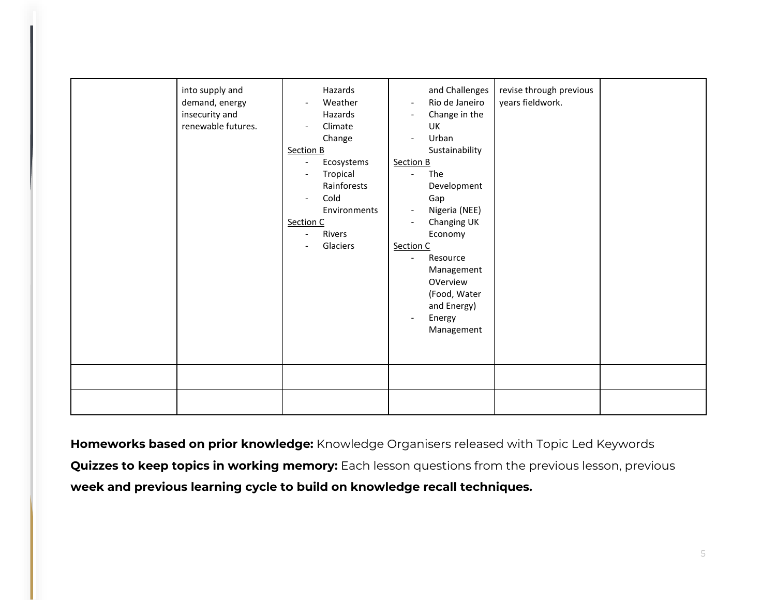| into supply and<br>demand, energy<br>insecurity and<br>renewable futures. | Hazards<br>Weather<br>$\overline{\phantom{a}}$<br>Hazards<br>Climate<br>$\overline{\phantom{a}}$<br>Change<br>Section B<br>Ecosystems<br>Tropical<br>Rainforests<br>Cold<br>Environments<br>Section C<br>Rivers<br>Glaciers | and Challenges<br>Rio de Janeiro<br>$\overline{\phantom{a}}$<br>Change in the<br>$\overline{\phantom{a}}$<br>UK<br>Urban<br>Sustainability<br>Section B<br>The<br>$\overline{a}$<br>Development<br>Gap<br>Nigeria (NEE)<br>$\overline{\phantom{a}}$<br>Changing UK<br>$\overline{\phantom{a}}$<br>Economy<br>Section C<br>Resource<br>$\overline{\phantom{a}}$<br>Management<br>OVerview<br>(Food, Water<br>and Energy)<br>Energy<br>$\overline{\phantom{a}}$<br>Management | revise through previous<br>years fieldwork. |  |
|---------------------------------------------------------------------------|-----------------------------------------------------------------------------------------------------------------------------------------------------------------------------------------------------------------------------|-----------------------------------------------------------------------------------------------------------------------------------------------------------------------------------------------------------------------------------------------------------------------------------------------------------------------------------------------------------------------------------------------------------------------------------------------------------------------------|---------------------------------------------|--|
|                                                                           |                                                                                                                                                                                                                             |                                                                                                                                                                                                                                                                                                                                                                                                                                                                             |                                             |  |

**Homeworks based on prior knowledge:** Knowledge Organisers released with Topic Led Keywords **Quizzes to keep topics in working memory:** Each lesson questions from the previous lesson, previous **week and previous learning cycle to build on knowledge recall techniques.**